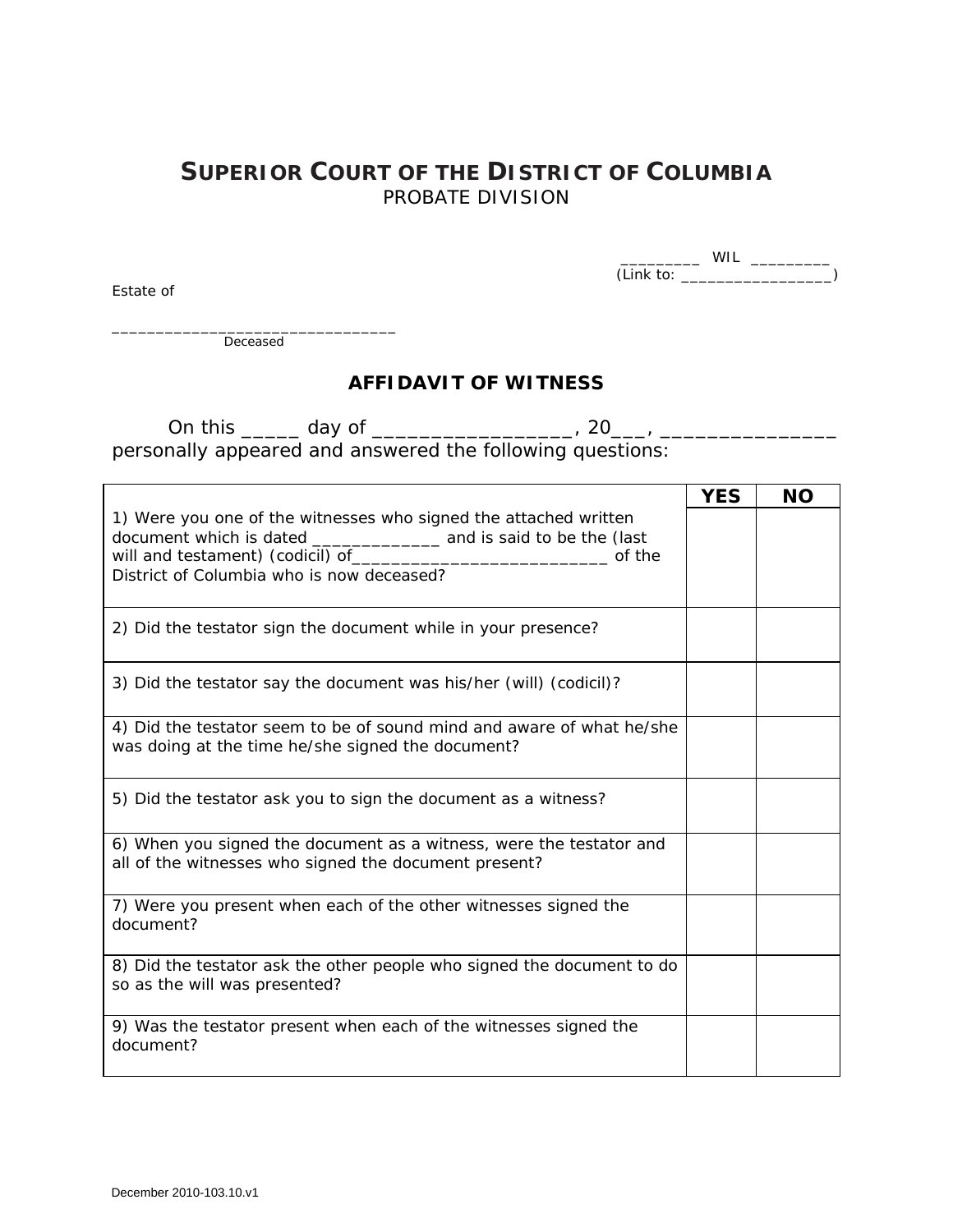## **SUPERIOR COURT OF THE DISTRICT OF COLUMBIA** PROBATE DIVISION

\_\_\_\_\_\_\_\_\_ WIL \_\_\_\_\_\_\_\_\_ (Link to: \_\_\_\_\_\_\_\_\_\_\_\_\_\_\_\_\_)

\_\_\_\_\_\_\_\_\_\_\_\_\_\_\_\_\_\_\_\_\_\_\_\_\_\_\_\_\_\_\_\_ **Deceased** 

Estate of

## **AFFIDAVIT OF WITNESS**

On this \_\_\_\_\_ day of \_\_\_\_\_\_\_\_\_\_\_\_\_\_\_\_\_, 20\_\_\_, \_\_\_\_\_\_\_\_\_\_\_\_\_\_\_ personally appeared and answered the following questions:

|                                                                                                                              | <b>YES</b> | <b>NO</b> |
|------------------------------------------------------------------------------------------------------------------------------|------------|-----------|
| 1) Were you one of the witnesses who signed the attached written<br>of the<br>District of Columbia who is now deceased?      |            |           |
| 2) Did the testator sign the document while in your presence?                                                                |            |           |
| 3) Did the testator say the document was his/her (will) (codicil)?                                                           |            |           |
| 4) Did the testator seem to be of sound mind and aware of what he/she<br>was doing at the time he/she signed the document?   |            |           |
| 5) Did the testator ask you to sign the document as a witness?                                                               |            |           |
| 6) When you signed the document as a witness, were the testator and<br>all of the witnesses who signed the document present? |            |           |
| 7) Were you present when each of the other witnesses signed the<br>document?                                                 |            |           |
| 8) Did the testator ask the other people who signed the document to do<br>so as the will was presented?                      |            |           |
| 9) Was the testator present when each of the witnesses signed the<br>document?                                               |            |           |